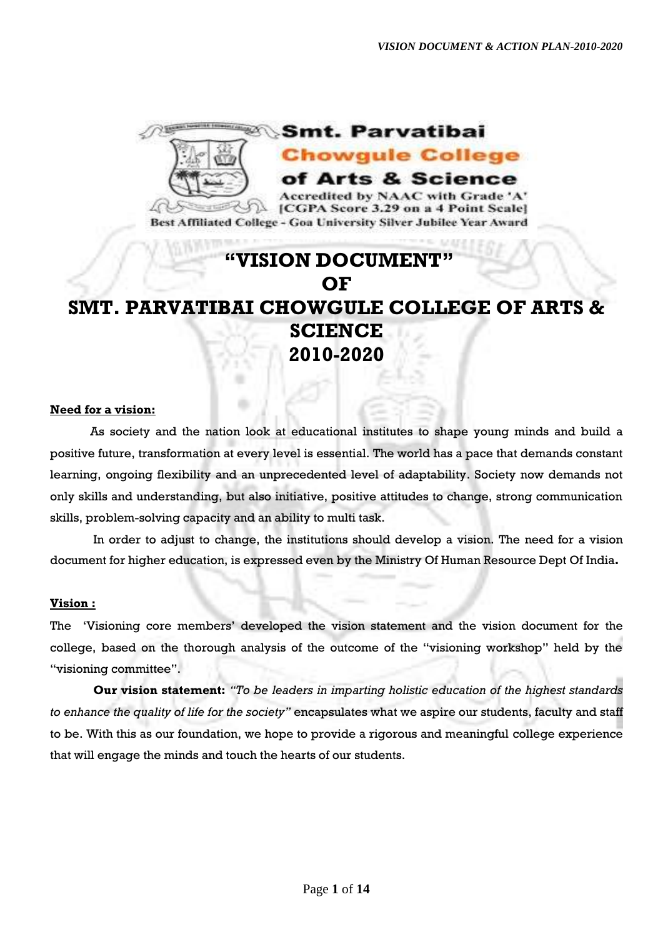

# **"VISION DOCUMENT" OF SMT. PARVATIBAI CHOWGULE COLLEGE OF ARTS & SCIENCE 2010-2020**

## **Need for a vision:**

As society and the nation look at educational institutes to shape young minds and build a positive future, transformation at every level is essential. The world has a pace that demands constant learning, ongoing flexibility and an unprecedented level of adaptability. Society now demands not only skills and understanding, but also initiative, positive attitudes to change, strong communication skills, problem-solving capacity and an ability to multi task.

In order to adjust to change, the institutions should develop a vision. The need for a vision document for higher education, is expressed even by the Ministry Of Human Resource Dept Of India**.** 

## **Vision :**

The 'Visioning core members' developed the vision statement and the vision document for the college, based on the thorough analysis of the outcome of the "visioning workshop" held by the "visioning committee".

**Our vision statement:** *"To be leaders in imparting holistic education of the highest standards to enhance the quality of life for the society"* encapsulates what we aspire our students, faculty and staff to be. With this as our foundation, we hope to provide a rigorous and meaningful college experience that will engage the minds and touch the hearts of our students.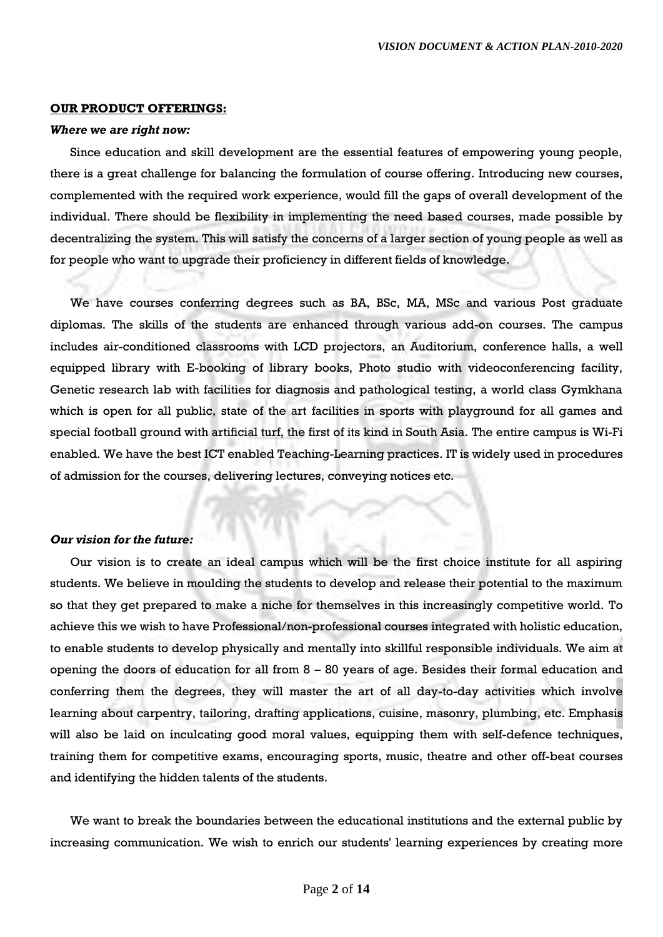### **OUR PRODUCT OFFERINGS:**

#### *Where we are right now:*

Since education and skill development are the essential features of empowering young people, there is a great challenge for balancing the formulation of course offering. Introducing new courses, complemented with the required work experience, would fill the gaps of overall development of the individual. There should be flexibility in implementing the need based courses, made possible by decentralizing the system. This will satisfy the concerns of a larger section of young people as well as for people who want to upgrade their proficiency in different fields of knowledge.

We have courses conferring degrees such as BA, BSc, MA, MSc and various Post graduate diplomas. The skills of the students are enhanced through various add-on courses. The campus includes air-conditioned classrooms with LCD projectors, an Auditorium, conference halls, a well equipped library with E-booking of library books, Photo studio with videoconferencing facility, Genetic research lab with facilities for diagnosis and pathological testing, a world class Gymkhana which is open for all public, state of the art facilities in sports with playground for all games and special football ground with artificial turf, the first of its kind in South Asia. The entire campus is Wi-Fi enabled. We have the best ICT enabled Teaching-Learning practices. IT is widely used in procedures of admission for the courses, delivering lectures, conveying notices etc.

### *Our vision for the future:*

Our vision is to create an ideal campus which will be the first choice institute for all aspiring students. We believe in moulding the students to develop and release their potential to the maximum so that they get prepared to make a niche for themselves in this increasingly competitive world. To achieve this we wish to have Professional/non-professional courses integrated with holistic education, to enable students to develop physically and mentally into skillful responsible individuals. We aim at opening the doors of education for all from  $8 - 80$  years of age. Besides their formal education and conferring them the degrees, they will master the art of all day-to-day activities which involve learning about carpentry, tailoring, drafting applications, cuisine, masonry, plumbing, etc. Emphasis will also be laid on inculcating good moral values, equipping them with self-defence techniques, training them for competitive exams, encouraging sports, music, theatre and other off-beat courses and identifying the hidden talents of the students.

We want to break the boundaries between the educational institutions and the external public by increasing communication. We wish to enrich our students' learning experiences by creating more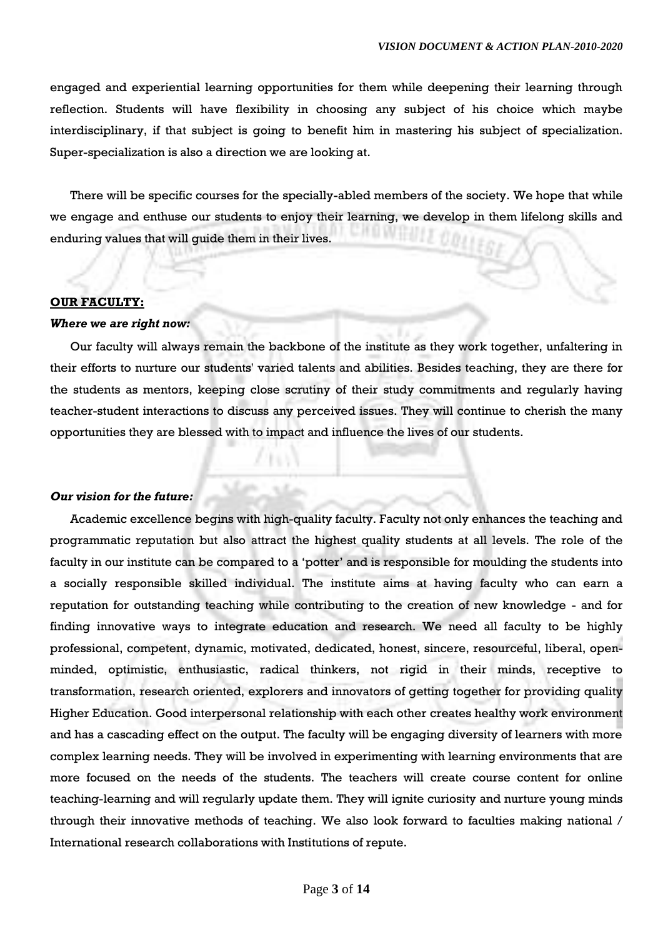engaged and experiential learning opportunities for them while deepening their learning through reflection. Students will have flexibility in choosing any subject of his choice which maybe interdisciplinary, if that subject is going to benefit him in mastering his subject of specialization. Super-specialization is also a direction we are looking at.

There will be specific courses for the specially-abled members of the society. We hope that while we engage and enthuse our students to enjoy their learning, we develop in them lifelong skills and enduring values that will guide them in their lives.

### **OUR FACULTY:**

#### *Where we are right now:*

Our faculty will always remain the backbone of the institute as they work together, unfaltering in their efforts to nurture our students' varied talents and abilities. Besides teaching, they are there for the students as mentors, keeping close scrutiny of their study commitments and regularly having teacher-student interactions to discuss any perceived issues. They will continue to cherish the many opportunities they are blessed with to impact and influence the lives of our students.

## *Our vision for the future:*

Academic excellence begins with high-quality faculty. Faculty not only enhances the teaching and programmatic reputation but also attract the highest quality students at all levels. The role of the faculty in our institute can be compared to a 'potter' and is responsible for moulding the students into a socially responsible skilled individual. The institute aims at having faculty who can earn a reputation for outstanding teaching while contributing to the creation of new knowledge - and for finding innovative ways to integrate education and research. We need all faculty to be highly professional, competent, dynamic, motivated, dedicated, honest, sincere, resourceful, liberal, openminded, optimistic, enthusiastic, radical thinkers, not rigid in their minds, receptive to transformation, research oriented, explorers and innovators of getting together for providing quality Higher Education. Good interpersonal relationship with each other creates healthy work environment and has a cascading effect on the output. The faculty will be engaging diversity of learners with more complex learning needs. They will be involved in experimenting with learning environments that are more focused on the needs of the students. The teachers will create course content for online teaching-learning and will regularly update them. They will ignite curiosity and nurture young minds through their innovative methods of teaching. We also look forward to faculties making national / International research collaborations with Institutions of repute.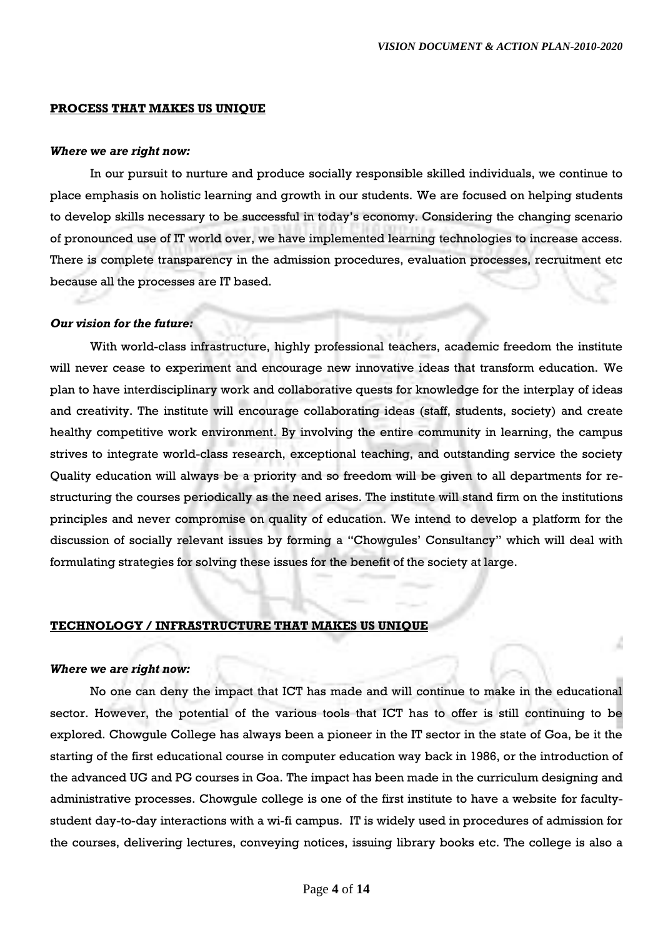#### **PROCESS THAT MAKES US UNIQUE**

#### *Where we are right now:*

In our pursuit to nurture and produce socially responsible skilled individuals, we continue to place emphasis on holistic learning and growth in our students. We are focused on helping students to develop skills necessary to be successful in today's economy. Considering the changing scenario of pronounced use of IT world over, we have implemented learning technologies to increase access. There is complete transparency in the admission procedures, evaluation processes, recruitment etc because all the processes are IT based.

### *Our vision for the future:*

With world-class infrastructure, highly professional teachers, academic freedom the institute will never cease to experiment and encourage new innovative ideas that transform education. We plan to have interdisciplinary work and collaborative quests for knowledge for the interplay of ideas and creativity. The institute will encourage collaborating ideas (staff, students, society) and create healthy competitive work environment. By involving the entire community in learning, the campus strives to integrate world-class research, exceptional teaching, and outstanding service the society Quality education will always be a priority and so freedom will be given to all departments for restructuring the courses periodically as the need arises. The institute will stand firm on the institutions principles and never compromise on quality of education. We intend to develop a platform for the discussion of socially relevant issues by forming a "Chowgules' Consultancy" which will deal with formulating strategies for solving these issues for the benefit of the society at large.

## **TECHNOLOGY / INFRASTRUCTURE THAT MAKES US UNIQUE**

### *Where we are right now:*

No one can deny the impact that ICT has made and will continue to make in the educational sector. However, the potential of the various tools that ICT has to offer is still continuing to be explored. Chowgule College has always been a pioneer in the IT sector in the state of Goa, be it the starting of the first educational course in computer education way back in 1986, or the introduction of the advanced UG and PG courses in Goa. The impact has been made in the curriculum designing and administrative processes. Chowgule college is one of the first institute to have a website for facultystudent day-to-day interactions with a wi-fi campus. IT is widely used in procedures of admission for the courses, delivering lectures, conveying notices, issuing library books etc. The college is also a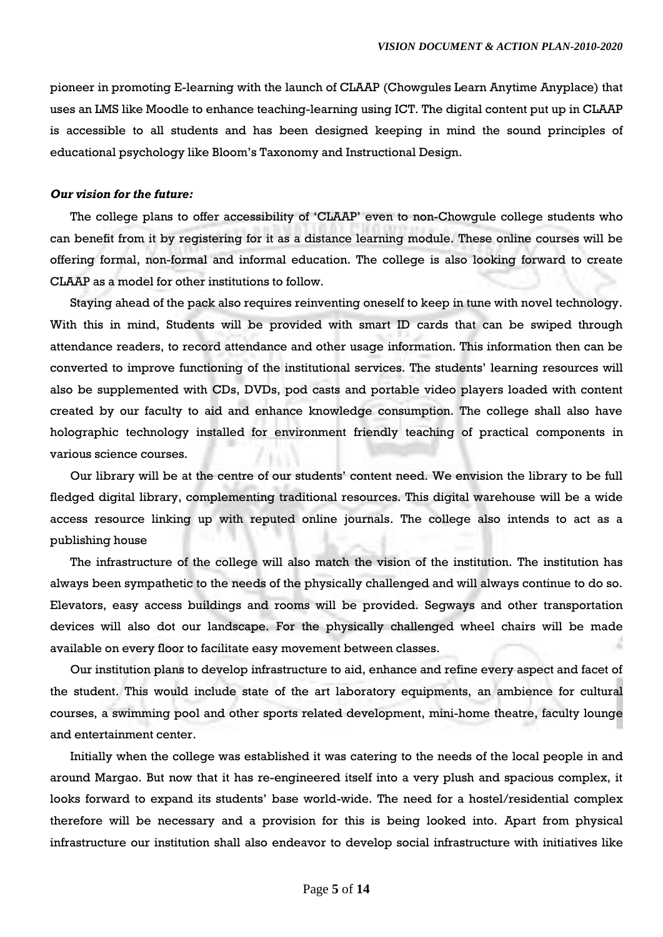pioneer in promoting E-learning with the launch of CLAAP (Chowgules Learn Anytime Anyplace) that uses an LMS like Moodle to enhance teaching-learning using ICT. The digital content put up in CLAAP is accessible to all students and has been designed keeping in mind the sound principles of educational psychology like Bloom's Taxonomy and Instructional Design.

### *Our vision for the future:*

The college plans to offer accessibility of 'CLAAP' even to non-Chowgule college students who can benefit from it by registering for it as a distance learning module. These online courses will be offering formal, non-formal and informal education. The college is also looking forward to create CLAAP as a model for other institutions to follow.

Staying ahead of the pack also requires reinventing oneself to keep in tune with novel technology. With this in mind, Students will be provided with smart ID cards that can be swiped through attendance readers, to record attendance and other usage information. This information then can be converted to improve functioning of the institutional services. The students' learning resources will also be supplemented with CDs, DVDs, pod casts and portable video players loaded with content created by our faculty to aid and enhance knowledge consumption. The college shall also have holographic technology installed for environment friendly teaching of practical components in various science courses.

Our library will be at the centre of our students' content need. We envision the library to be full fledged digital library, complementing traditional resources. This digital warehouse will be a wide access resource linking up with reputed online journals. The college also intends to act as a publishing house

The infrastructure of the college will also match the vision of the institution. The institution has always been sympathetic to the needs of the physically challenged and will always continue to do so. Elevators, easy access buildings and rooms will be provided. Segways and other transportation devices will also dot our landscape. For the physically challenged wheel chairs will be made available on every floor to facilitate easy movement between classes.

Our institution plans to develop infrastructure to aid, enhance and refine every aspect and facet of the student. This would include state of the art laboratory equipments, an ambience for cultural courses, a swimming pool and other sports related development, mini-home theatre, faculty lounge and entertainment center.

Initially when the college was established it was catering to the needs of the local people in and around Margao. But now that it has re-engineered itself into a very plush and spacious complex, it looks forward to expand its students' base world-wide. The need for a hostel/residential complex therefore will be necessary and a provision for this is being looked into. Apart from physical infrastructure our institution shall also endeavor to develop social infrastructure with initiatives like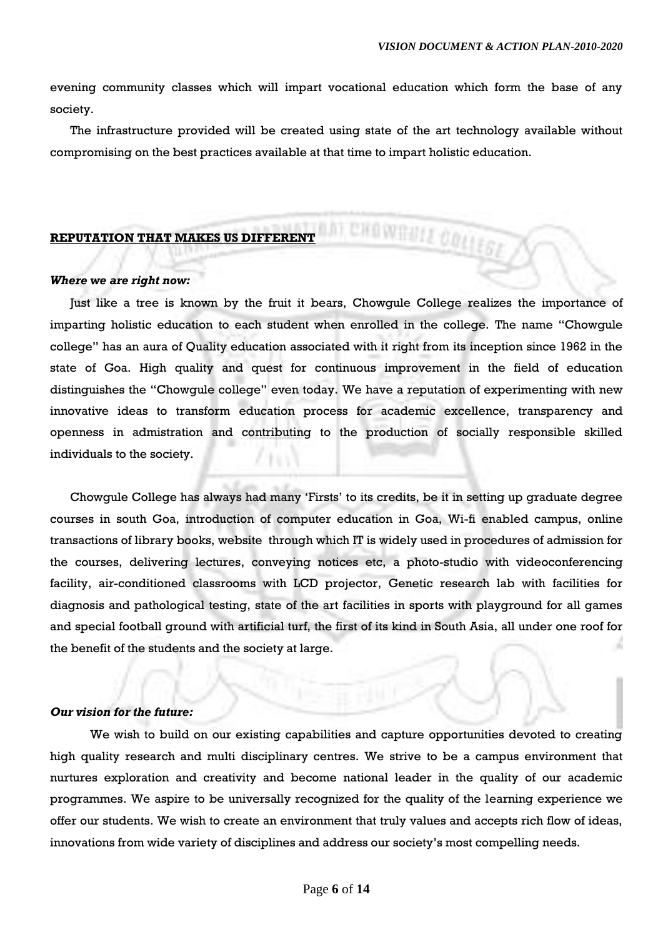evening community classes which will impart vocational education which form the base of any society.

The infrastructure provided will be created using state of the art technology available without compromising on the best practices available at that time to impart holistic education.

nni Cifownull College

## **REPUTATION THAT MAKES US DIFFERENT**

### *Where we are right now:*

Just like a tree is known by the fruit it bears, Chowgule College realizes the importance of imparting holistic education to each student when enrolled in the college. The name "Chowgule college" has an aura of Quality education associated with it right from its inception since 1962 in the state of Goa. High quality and quest for continuous improvement in the field of education distinguishes the "Chowgule college" even today. We have a reputation of experimenting with new innovative ideas to transform education process for academic excellence, transparency and openness in admistration and contributing to the production of socially responsible skilled individuals to the society.

Chowgule College has always had many 'Firsts' to its credits, be it in setting up graduate degree courses in south Goa, introduction of computer education in Goa, Wi-fi enabled campus, online transactions of library books, website through which IT is widely used in procedures of admission for the courses, delivering lectures, conveying notices etc, a photo-studio with videoconferencing facility, air-conditioned classrooms with LCD projector, Genetic research lab with facilities for diagnosis and pathological testing, state of the art facilities in sports with playground for all games and special football ground with artificial turf, the first of its kind in South Asia, all under one roof for the benefit of the students and the society at large.

## *Our vision for the future:*

We wish to build on our existing capabilities and capture opportunities devoted to creating high quality research and multi disciplinary centres. We strive to be a campus environment that nurtures exploration and creativity and become national leader in the quality of our academic programmes. We aspire to be universally recognized for the quality of the learning experience we offer our students. We wish to create an environment that truly values and accepts rich flow of ideas, innovations from wide variety of disciplines and address our society's most compelling needs.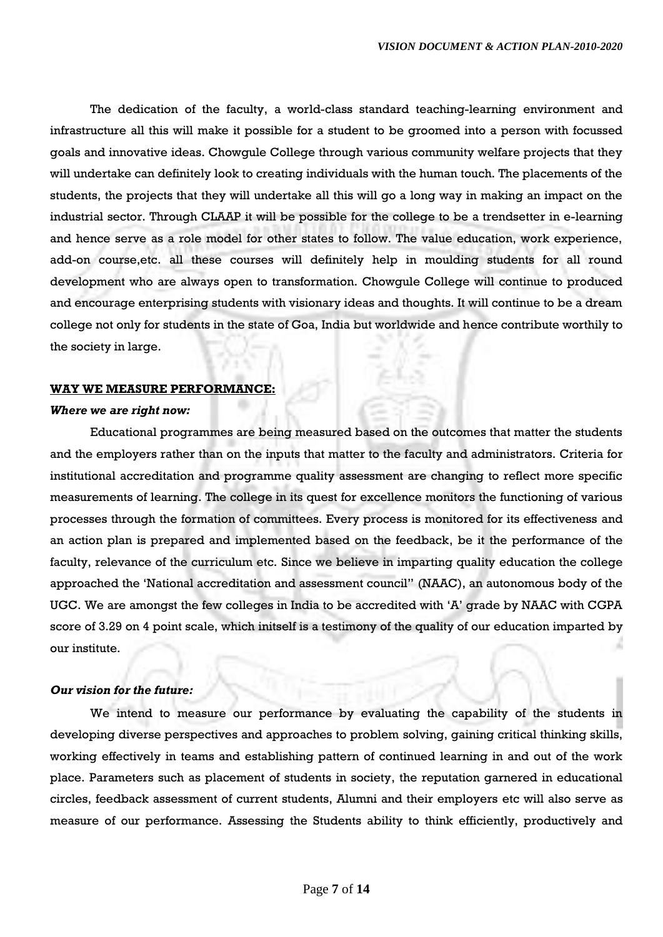The dedication of the faculty, a world-class standard teaching-learning environment and infrastructure all this will make it possible for a student to be groomed into a person with focussed goals and innovative ideas. Chowgule College through various community welfare projects that they will undertake can definitely look to creating individuals with the human touch. The placements of the students, the projects that they will undertake all this will go a long way in making an impact on the industrial sector. Through CLAAP it will be possible for the college to be a trendsetter in e-learning and hence serve as a role model for other states to follow. The value education, work experience, add-on course,etc. all these courses will definitely help in moulding students for all round development who are always open to transformation. Chowgule College will continue to produced and encourage enterprising students with visionary ideas and thoughts. It will continue to be a dream college not only for students in the state of Goa, India but worldwide and hence contribute worthily to the society in large.

### **WAY WE MEASURE PERFORMANCE:**

### *Where we are right now:*

Educational programmes are being measured based on the outcomes that matter the students and the employers rather than on the inputs that matter to the faculty and administrators. Criteria for institutional accreditation and programme quality assessment are changing to reflect more specific measurements of learning. The college in its quest for excellence monitors the functioning of various processes through the formation of committees. Every process is monitored for its effectiveness and an action plan is prepared and implemented based on the feedback, be it the performance of the faculty, relevance of the curriculum etc. Since we believe in imparting quality education the college approached the 'National accreditation and assessment council" (NAAC), an autonomous body of the UGC. We are amongst the few colleges in India to be accredited with 'A' grade by NAAC with CGPA score of 3.29 on 4 point scale, which initself is a testimony of the quality of our education imparted by our institute.

### *Our vision for the future:*

We intend to measure our performance by evaluating the capability of the students in developing diverse perspectives and approaches to problem solving, gaining critical thinking skills, working effectively in teams and establishing pattern of continued learning in and out of the work place. Parameters such as placement of students in society, the reputation garnered in educational circles, feedback assessment of current students, Alumni and their employers etc will also serve as measure of our performance. Assessing the Students ability to think efficiently, productively and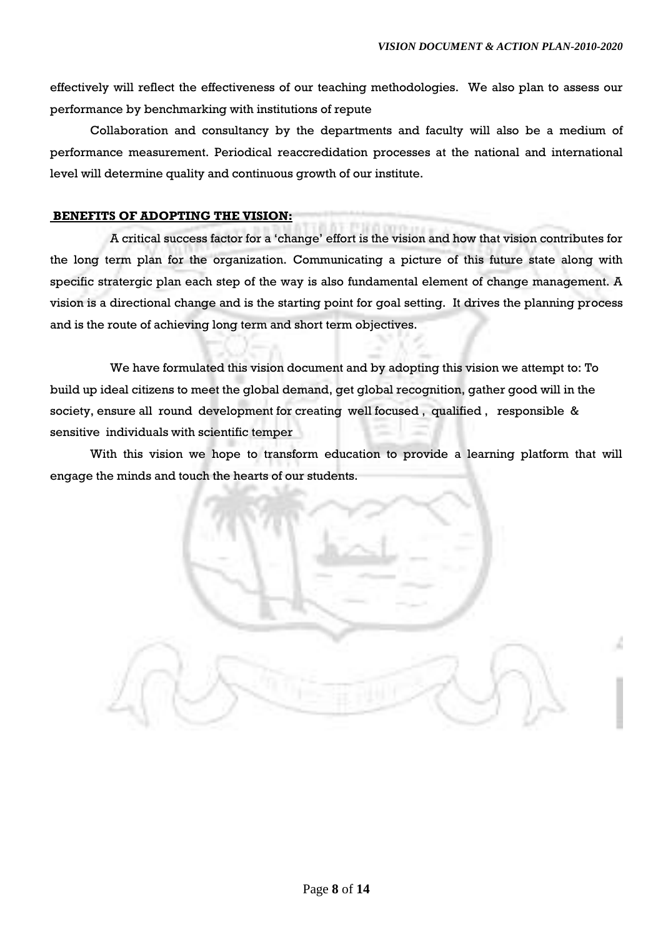effectively will reflect the effectiveness of our teaching methodologies. We also plan to assess our performance by benchmarking with institutions of repute

Collaboration and consultancy by the departments and faculty will also be a medium of performance measurement. Periodical reaccredidation processes at the national and international level will determine quality and continuous growth of our institute.

## **BENEFITS OF ADOPTING THE VISION:**

A critical success factor for a 'change' effort is the vision and how that vision contributes for the long term plan for the organization. Communicating a picture of this future state along with specific stratergic plan each step of the way is also fundamental element of change management. A vision is a directional change and is the starting point for goal setting. It drives the planning process and is the route of achieving long term and short term objectives.

We have formulated this vision document and by adopting this vision we attempt to: To build up ideal citizens to meet the global demand, get global recognition, gather good will in the society, ensure all round development for creating well focused , qualified , responsible & sensitive individuals with scientific temper

With this vision we hope to transform education to provide a learning platform that will engage the minds and touch the hearts of our students.

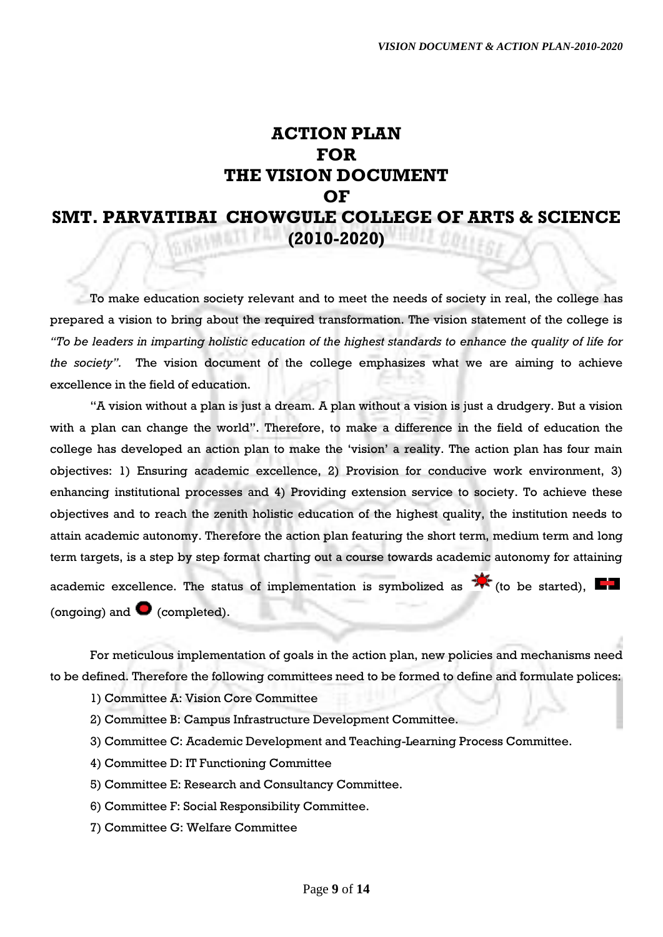## **ACTION PLAN FOR THE VISION DOCUMENT OF SMT. PARVATIBAI CHOWGULE COLLEGE OF ARTS & SCIENCE (2010-2020)**

To make education society relevant and to meet the needs of society in real, the college has prepared a vision to bring about the required transformation. The vision statement of the college is *"To be leaders in imparting holistic education of the highest standards to enhance the quality of life for the society".* The vision document of the college emphasizes what we are aiming to achieve excellence in the field of education.

"A vision without a plan is just a dream. A plan without a vision is just a drudgery. But a vision with a plan can change the world". Therefore, to make a difference in the field of education the college has developed an action plan to make the 'vision' a reality. The action plan has four main objectives: 1) Ensuring academic excellence, 2) Provision for conducive work environment, 3) enhancing institutional processes and 4) Providing extension service to society. To achieve these objectives and to reach the zenith holistic education of the highest quality, the institution needs to attain academic autonomy. Therefore the action plan featuring the short term, medium term and long term targets, is a step by step format charting out a course towards academic autonomy for attaining academic excellence. The status of implementation is symbolized as  $\mathbf{\hat{X}}$  (to be started),  $\blacksquare$ (ongoing) and  $\bullet$  (completed).

For meticulous implementation of goals in the action plan, new policies and mechanisms need to be defined. Therefore the following committees need to be formed to define and formulate polices:

- 1) Committee A: Vision Core Committee
- 2) Committee B: Campus Infrastructure Development Committee.
- 3) Committee C: Academic Development and Teaching-Learning Process Committee.
- 4) Committee D: IT Functioning Committee
- 5) Committee E: Research and Consultancy Committee.
- 6) Committee F: Social Responsibility Committee.
- 7) Committee G: Welfare Committee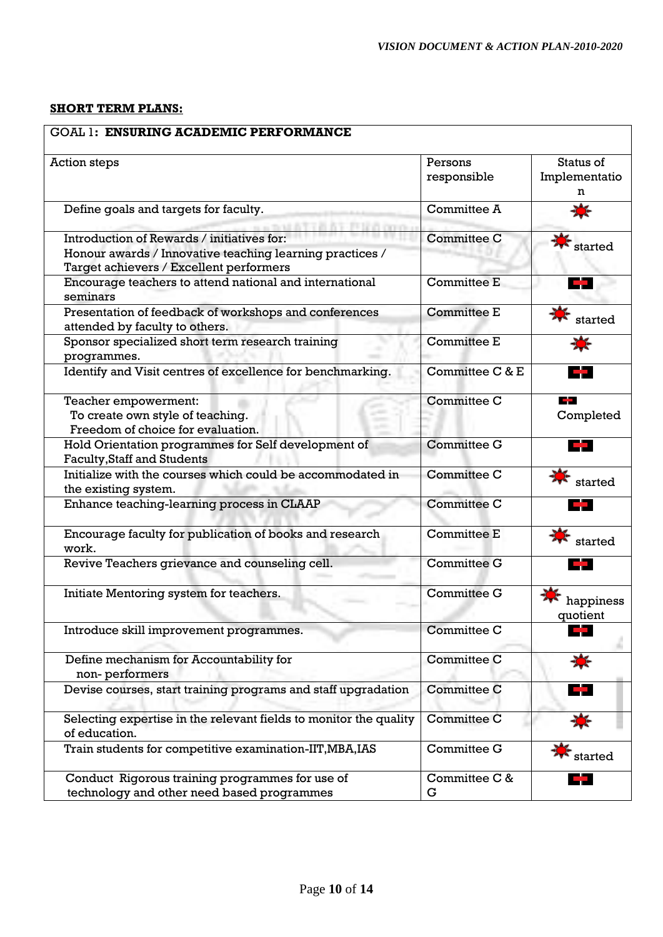## **SHORT TERM PLANS:**

| <b>GOAL 1: ENSURING ACADEMIC PERFORMANCE</b>                                                                                                      |                        |                                 |
|---------------------------------------------------------------------------------------------------------------------------------------------------|------------------------|---------------------------------|
| <b>Action steps</b>                                                                                                                               | Persons<br>responsible | Status of<br>Implementatio<br>n |
| Define goals and targets for faculty.                                                                                                             | Committee A            |                                 |
| Introduction of Rewards / initiatives for:<br>Honour awards / Innovative teaching learning practices /<br>Target achievers / Excellent performers | <b>Committee C</b>     | $\cdot$ started                 |
| Encourage teachers to attend national and international<br>seminars                                                                               | <b>Committee E</b>     |                                 |
| Presentation of feedback of workshops and conferences<br>attended by faculty to others.                                                           | <b>Committee E</b>     | started                         |
| Sponsor specialized short term research training<br>programmes.                                                                                   | <b>Committee E</b>     | X.                              |
| Identify and Visit centres of excellence for benchmarking.                                                                                        | Committee C & E        | a sa n                          |
| Teacher empowerment:<br>To create own style of teaching.<br>Freedom of choice for evaluation.                                                     | <b>Committee C</b>     | n an<br>Completed               |
| Hold Orientation programmes for Self development of<br><b>Faculty, Staff and Students</b>                                                         | <b>Committee G</b>     | a an                            |
| Initialize with the courses which could be accommodated in<br>the existing system.                                                                | <b>Committee C</b>     | started                         |
| Enhance teaching-learning process in CLAAP                                                                                                        | <b>Committee C</b>     |                                 |
| Encourage faculty for publication of books and research<br>work.                                                                                  | <b>Committee E</b>     | started                         |
| Revive Teachers grievance and counseling cell.                                                                                                    | <b>Committee G</b>     |                                 |
| Initiate Mentoring system for teachers.                                                                                                           | <b>Committee G</b>     | happiness<br>quotient           |
| Introduce skill improvement programmes.                                                                                                           | <b>Committee C</b>     |                                 |
| Define mechanism for Accountability for<br>non-performers                                                                                         | <b>Committee C</b>     |                                 |
| Devise courses, start training programs and staff upgradation                                                                                     | <b>Committee C</b>     | a a                             |
| Selecting expertise in the relevant fields to monitor the quality<br>of education.                                                                | <b>Committee C</b>     |                                 |
| Train students for competitive examination-IIT, MBA, IAS                                                                                          | Committee G            | started                         |
| Conduct Rigorous training programmes for use of<br>technology and other need based programmes                                                     | Committee C &<br>G     | e s                             |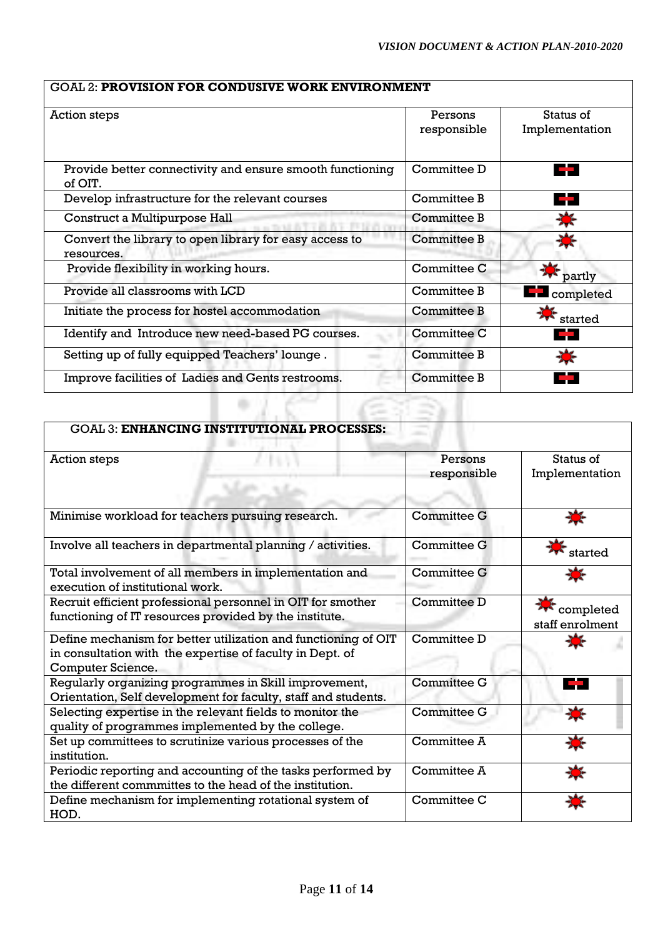## GOAL 2: **PROVISION FOR CONDUSIVE WORK ENVIRONMENT**

| Action steps                                                         | Persons            | Status of          |
|----------------------------------------------------------------------|--------------------|--------------------|
|                                                                      | responsible        | Implementation     |
| Provide better connectivity and ensure smooth functioning<br>of OIT. | Committee D        | 75                 |
| Develop infrastructure for the relevant courses                      | Committee B        | 77                 |
| Construct a Multipurpose Hall                                        | Committee B        |                    |
| Convert the library to open library for easy access to<br>resources. | Committee B        |                    |
| Provide flexibility in working hours.                                | Committee C        | partly             |
| Provide all classrooms with LCD                                      | Committee B        | <b>E</b> completed |
| Initiate the process for hostel accommodation                        | Committee B        | started            |
| Identify and Introduce new need-based PG courses.                    | Committee C        |                    |
| Setting up of fully equipped Teachers' lounge.                       | <b>Committee B</b> |                    |
| Improve facilities of Ladies and Gents restrooms.                    | Committee B        |                    |

| <b>GOAL 3: ENHANCING INSTITUTIONAL PROCESSES:</b>                                                                                                       |                        |                              |
|---------------------------------------------------------------------------------------------------------------------------------------------------------|------------------------|------------------------------|
| Action steps                                                                                                                                            | Persons<br>responsible | Status of<br>Implementation  |
| Minimise workload for teachers pursuing research.                                                                                                       | <b>Committee G</b>     |                              |
| Involve all teachers in departmental planning / activities.                                                                                             | <b>Committee G</b>     | started                      |
| Total involvement of all members in implementation and<br>execution of institutional work.                                                              | Committee G            |                              |
| Recruit efficient professional personnel in OIT for smother<br>functioning of IT resources provided by the institute.                                   | Committee D            | completed<br>staff enrolment |
| Define mechanism for better utilization and functioning of OIT<br>in consultation with the expertise of faculty in Dept. of<br><b>Computer Science.</b> | Committee D            |                              |
| Regularly organizing programmes in Skill improvement,<br>Orientation, Self development for faculty, staff and students.                                 | <b>Committee G</b>     |                              |
| Selecting expertise in the relevant fields to monitor the<br>quality of programmes implemented by the college.                                          | <b>Committee G</b>     |                              |
| Set up committees to scrutinize various processes of the<br>institution.                                                                                | Committee A            |                              |
| Periodic reporting and accounting of the tasks performed by<br>the different commmittes to the head of the institution.                                 | Committee A            |                              |
| Define mechanism for implementing rotational system of<br>HOD.                                                                                          | Committee C            |                              |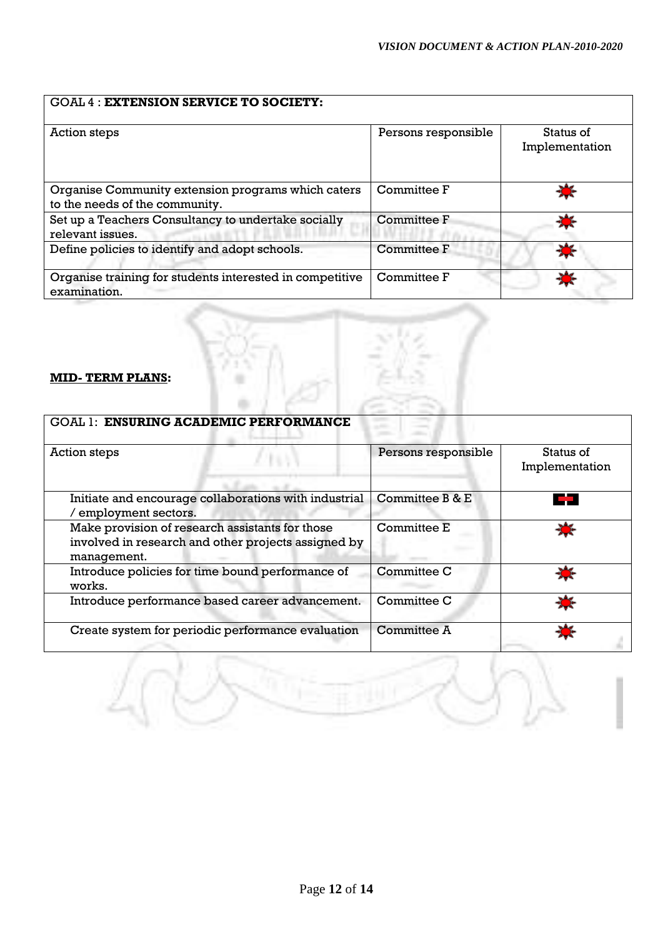## GOAL 4 : **EXTENSION SERVICE TO SOCIETY:**

| Action steps                                                                         | Persons responsible | Status of<br>Implementation |
|--------------------------------------------------------------------------------------|---------------------|-----------------------------|
| Organise Community extension programs which caters<br>to the needs of the community. | Committee F         |                             |
| Set up a Teachers Consultancy to undertake socially<br>relevant issues.              | <b>Committee F</b>  |                             |
| Define policies to identify and adopt schools.                                       | <b>Committee F</b>  |                             |
| Organise training for students interested in competitive<br>examination.             | Committee F         |                             |

## **MID- TERM PLANS:**

| <b>GOAL 1: ENSURING ACADEMIC PERFORMANCE</b>                                                                          |                     |                             |
|-----------------------------------------------------------------------------------------------------------------------|---------------------|-----------------------------|
| Action steps                                                                                                          | Persons responsible | Status of<br>Implementation |
| Initiate and encourage collaborations with industrial<br>/ employment sectors.                                        | Committee B & E     |                             |
| Make provision of research assistants for those<br>involved in research and other projects assigned by<br>management. | <b>Committee E</b>  |                             |
| Introduce policies for time bound performance of<br>works.                                                            | Committee C         |                             |
| Introduce performance based career advancement.                                                                       | <b>Committee C</b>  |                             |
| Create system for periodic performance evaluation                                                                     | <b>Committee A</b>  |                             |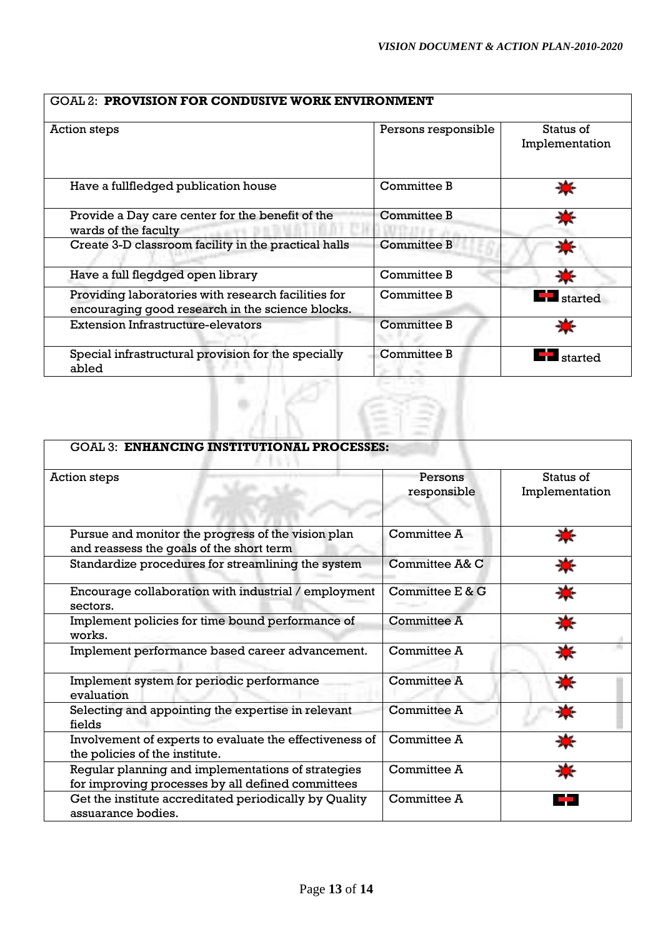| <b>GOAL 2: PROVISION FOR CONDUSIVE WORK ENVIRONMENT</b>                                                 |                     |                             |
|---------------------------------------------------------------------------------------------------------|---------------------|-----------------------------|
| Action steps                                                                                            | Persons responsible | Status of<br>Implementation |
| Have a fullfledged publication house                                                                    | Committee B         |                             |
| Provide a Day care center for the benefit of the<br>wards of the faculty                                | Committee B         |                             |
| Create 3-D classroom facility in the practical halls                                                    | Committee B         |                             |
| Have a full flegdged open library                                                                       | Committee B         |                             |
| Providing laboratories with research facilities for<br>encouraging good research in the science blocks. | Committee B         | <b>I</b> started            |
| <b>Extension Infrastructure-elevators</b>                                                               | Committee B         |                             |
| Special infrastructural provision for the specially<br>abled                                            | Committee B         | started                     |

| <b>GOAL 3: ENHANCING INSTITUTIONAL PROCESSES:</b>                            |                    |                |
|------------------------------------------------------------------------------|--------------------|----------------|
| <b>Action steps</b>                                                          | Persons            | Status of      |
|                                                                              | responsible        | Implementation |
|                                                                              |                    |                |
| Pursue and monitor the progress of the vision plan                           | Committee A        |                |
| and reassess the goals of the short term                                     |                    |                |
| Standardize procedures for streamlining the system                           | Committee A& C     |                |
| Encourage collaboration with industrial / employment                         | Committee E & G    |                |
| sectors.                                                                     |                    |                |
| Implement policies for time bound performance of<br>works.                   | <b>Committee A</b> |                |
| Implement performance based career advancement.                              | Committee A        | 濠              |
| Implement system for periodic performance<br>evaluation                      | <b>Committee A</b> | 漆              |
| Selecting and appointing the expertise in relevant<br>fields                 | <b>Committee A</b> | Ò              |
| Involvement of experts to evaluate the effectiveness of                      | Committee A        |                |
| the policies of the institute.                                               |                    |                |
| Regular planning and implementations of strategies                           | Committee A        |                |
| for improving processes by all defined committees                            | Committee A        |                |
| Get the institute accreditated periodically by Quality<br>assuarance bodies. |                    |                |